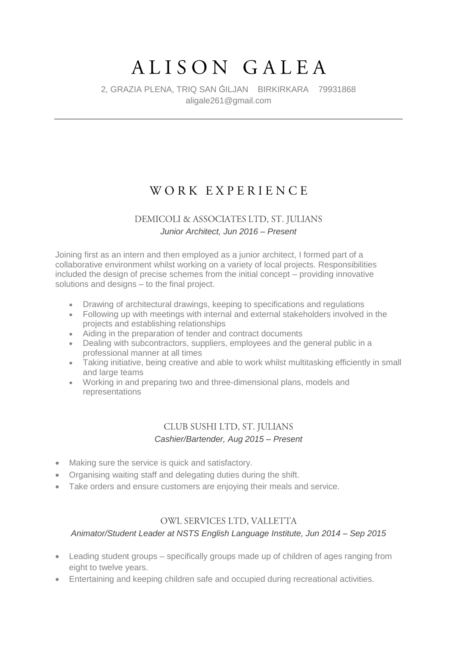# ALISON GALEA

### 2, GRAZIA PLENA, TRIQ SAN ĠILJAN BIRKIRKARA 79931868 aligale261@gmail.com

# WORK EXPERIENCE

# DEMICOLI & ASSOCIATES LTD, ST. JULIANS *Junior Architect, Jun 2016 – Present*

Joining first as an intern and then employed as a junior architect, I formed part of a collaborative environment whilst working on a variety of local projects. Responsibilities included the design of precise schemes from the initial concept – providing innovative solutions and designs – to the final project.

- Drawing of architectural drawings, keeping to specifications and regulations
- Following up with meetings with internal and external stakeholders involved in the projects and establishing relationships
- Aiding in the preparation of tender and contract documents
- Dealing with subcontractors, suppliers, employees and the general public in a professional manner at all times
- Taking initiative, being creative and able to work whilst multitasking efficiently in small and large teams
- Working in and preparing two and three-dimensional plans, models and representations

# CLUB SUSHI LTD, ST. JULIANS *Cashier/Bartender, Aug 2015 – Present*

- Making sure the service is quick and satisfactory.
- Organising waiting staff and delegating duties during the shift.
- Take orders and ensure customers are enjoying their meals and service.

#### OWL SERVICES LTD, VALLETTA

#### *Animator/Student Leader at NSTS English Language Institute, Jun 2014 – Sep 2015*

- Leading student groups specifically groups made up of children of ages ranging from eight to twelve years.
- Entertaining and keeping children safe and occupied during recreational activities.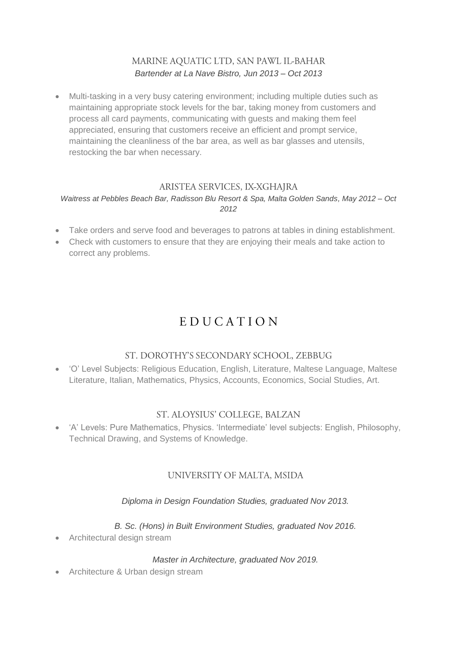# MARINE AQUATIC LTD, SAN PAWL IL-BAHAR *Bartender at La Nave Bistro, Jun 2013 – Oct 2013*

 Multi-tasking in a very busy catering environment; including multiple duties such as maintaining appropriate stock levels for the bar, taking money from customers and process all card payments, communicating with guests and making them feel appreciated, ensuring that customers receive an efficient and prompt service, maintaining the cleanliness of the bar area, as well as bar glasses and utensils, restocking the bar when necessary.

#### ARISTEA SERVICES, IX-XGHAJRA

#### *Waitress at Pebbles Beach Bar, Radisson Blu Resort & Spa, Malta Golden Sands, May 2012 – Oct 2012*

- Take orders and serve food and beverages to patrons at tables in dining establishment.
- Check with customers to ensure that they are enjoying their meals and take action to correct any problems.

# EDUCATION

## ST. DOROTHY'S SECONDARY SCHOOL, ZEBBUG

 'O' Level Subjects: Religious Education, English, Literature, Maltese Language, Maltese Literature, Italian, Mathematics, Physics, Accounts, Economics, Social Studies, Art.

## ST. ALOYSIUS' COLLEGE, BALZAN

 'A' Levels: Pure Mathematics, Physics. 'Intermediate' level subjects: English, Philosophy, Technical Drawing, and Systems of Knowledge.

## UNIVERSITY OF MALTA, MSIDA

#### *Diploma in Design Foundation Studies, graduated Nov 2013.*

*B. Sc. (Hons) in Built Environment Studies, graduated Nov 2016.*

Architectural design stream

#### *Master in Architecture, graduated Nov 2019.*

• Architecture & Urban design stream